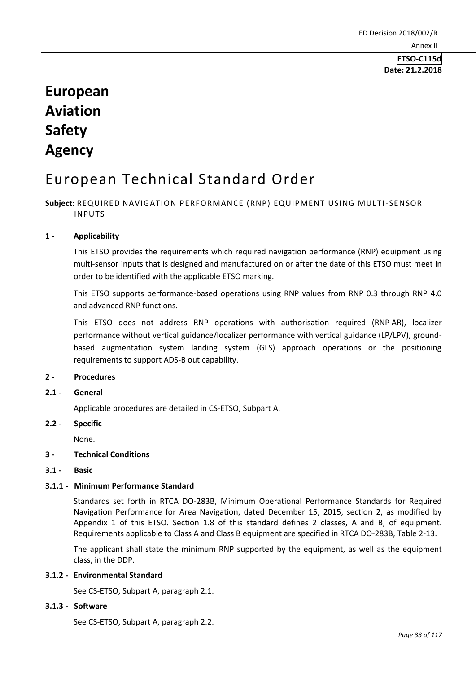**Date: 21.2.2018**

# **European Aviation Safety Agency**

# European Technical Standard Order

# **Subject:** REQUIRED NAVIGATION PERFORMANCE (RNP) EQUIPMENT USING MULTI-SENSOR INPUTS

# **1 - Applicability**

This ETSO provides the requirements which required navigation performance (RNP) equipment using multi-sensor inputs that is designed and manufactured on or after the date of this ETSO must meet in order to be identified with the applicable ETSO marking.

This ETSO supports performance-based operations using RNP values from RNP 0.3 through RNP 4.0 and advanced RNP functions.

This ETSO does not address RNP operations with authorisation required (RNP AR), localizer performance without vertical guidance/localizer performance with vertical guidance (LP/LPV), groundbased augmentation system landing system (GLS) approach operations or the positioning requirements to support ADS-B out capability.

# **2 - Procedures**

**2.1 - General** 

Applicable procedures are detailed in CS-ETSO, Subpart A.

**2.2 - Specific** 

None.

# **3 - Technical Conditions**

**3.1 - Basic** 

# **3.1.1 - Minimum Performance Standard**

Standards set forth in RTCA DO-283B, Minimum Operational Performance Standards for Required Navigation Performance for Area Navigation, dated December 15, 2015, section 2, as modified by Appendix 1 of this ETSO. Section 1.8 of this standard defines 2 classes, A and B, of equipment. Requirements applicable to Class A and Class B equipment are specified in RTCA DO-283B, Table 2-13.

The applicant shall state the minimum RNP supported by the equipment, as well as the equipment class, in the DDP.

# **3.1.2 - Environmental Standard**

See CS-ETSO, Subpart A, paragraph 2.1.

# **3.1.3 - Software**

See CS-ETSO, Subpart A, paragraph 2.2.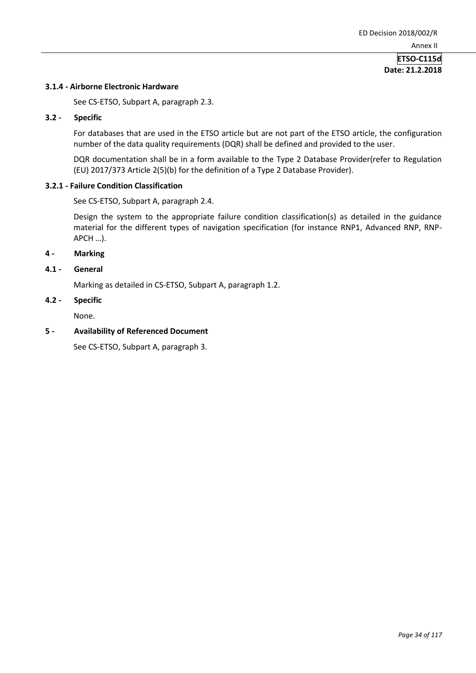# **Date: 21.2.2018**

# **3.1.4 - Airborne Electronic Hardware**

See CS-ETSO, Subpart A, paragraph 2.3.

#### **3.2 - Specific**

For databases that are used in the ETSO article but are not part of the ETSO article, the configuration number of the data quality requirements (DQR) shall be defined and provided to the user.

DQR documentation shall be in a form available to the Type 2 Database Provider(refer to Regulation (EU) 2017/373 Article 2(5)(b) for the definition of a Type 2 Database Provider).

#### **3.2.1 - Failure Condition Classification**

See CS-ETSO, Subpart A, paragraph 2.4.

Design the system to the appropriate failure condition classification(s) as detailed in the guidance material for the different types of navigation specification (for instance RNP1, Advanced RNP, RNP-APCH …).

# **4 - Marking**

#### **4.1 - General**

Marking as detailed in CS-ETSO, Subpart A, paragraph 1.2.

#### **4.2 - Specific**

None.

#### **5 - Availability of Referenced Document**

See CS-ETSO, Subpart A, paragraph 3.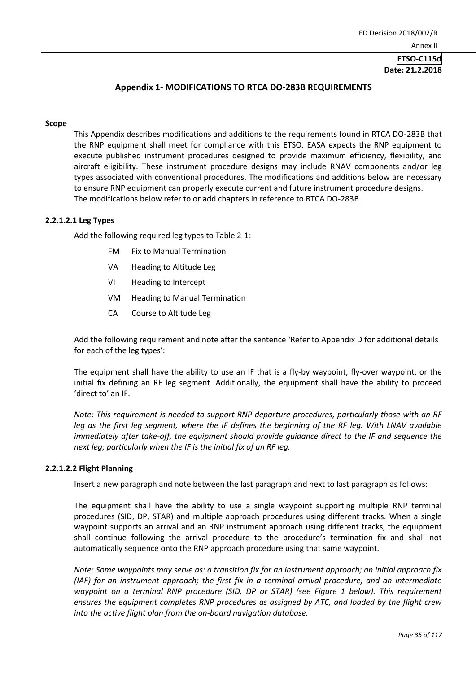# **ETSO-C115d Date: 21.2.2018**

# **Appendix 1- MODIFICATIONS TO RTCA DO-283B REQUIREMENTS**

#### **Scope**

This Appendix describes modifications and additions to the requirements found in RTCA DO-283B that the RNP equipment shall meet for compliance with this ETSO. EASA expects the RNP equipment to execute published instrument procedures designed to provide maximum efficiency, flexibility, and aircraft eligibility. These instrument procedure designs may include RNAV components and/or leg types associated with conventional procedures. The modifications and additions below are necessary to ensure RNP equipment can properly execute current and future instrument procedure designs. The modifications below refer to or add chapters in reference to RTCA DO-283B.

#### **2.2.1.2.1 Leg Types**

Add the following required leg types to Table 2-1:

- FM Fix to Manual Termination
- VA Heading to Altitude Leg
- VI Heading to Intercept
- VM Heading to Manual Termination
- CA Course to Altitude Leg

Add the following requirement and note after the sentence 'Refer to Appendix D for additional details for each of the leg types':

The equipment shall have the ability to use an IF that is a fly-by waypoint, fly-over waypoint, or the initial fix defining an RF leg segment. Additionally, the equipment shall have the ability to proceed 'direct to' an IF.

*Note: This requirement is needed to support RNP departure procedures, particularly those with an RF leg as the first leg segment, where the IF defines the beginning of the RF leg. With LNAV available immediately after take-off, the equipment should provide guidance direct to the IF and sequence the next leg; particularly when the IF is the initial fix of an RF leg.*

#### **2.2.1.2.2 Flight Planning**

Insert a new paragraph and note between the last paragraph and next to last paragraph as follows:

The equipment shall have the ability to use a single waypoint supporting multiple RNP terminal procedures (SID, DP, STAR) and multiple approach procedures using different tracks. When a single waypoint supports an arrival and an RNP instrument approach using different tracks, the equipment shall continue following the arrival procedure to the procedure's termination fix and shall not automatically sequence onto the RNP approach procedure using that same waypoint.

*Note: Some waypoints may serve as: a transition fix for an instrument approach; an initial approach fix (IAF) for an instrument approach; the first fix in a terminal arrival procedure; and an intermediate waypoint on a terminal RNP procedure (SID, DP or STAR) (see Figure 1 below). This requirement ensures the equipment completes RNP procedures as assigned by ATC, and loaded by the flight crew into the active flight plan from the on-board navigation database.*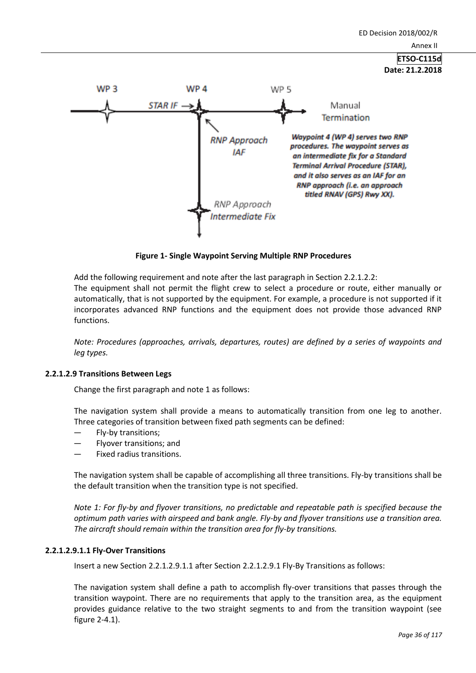

**Figure 1- Single Waypoint Serving Multiple RNP Procedures**

RNP Approach Intermediate Fix

Add the following requirement and note after the last paragraph in Section 2.2.1.2.2: The equipment shall not permit the flight crew to select a procedure or route, either manually or automatically, that is not supported by the equipment. For example, a procedure is not supported if it incorporates advanced RNP functions and the equipment does not provide those advanced RNP functions.

*Note: Procedures (approaches, arrivals, departures, routes) are defined by a series of waypoints and leg types.*

# **2.2.1.2.9 Transitions Between Legs**

Change the first paragraph and note 1 as follows:

The navigation system shall provide a means to automatically transition from one leg to another. Three categories of transition between fixed path segments can be defined:

- Fly-by transitions;
- Flyover transitions; and
- Fixed radius transitions.

The navigation system shall be capable of accomplishing all three transitions. Fly-by transitions shall be the default transition when the transition type is not specified.

*Note 1: For fly-by and flyover transitions, no predictable and repeatable path is specified because the optimum path varies with airspeed and bank angle. Fly-by and flyover transitions use a transition area. The aircraft should remain within the transition area for fly-by transitions.*

# **2.2.1.2.9.1.1 Fly-Over Transitions**

Insert a new Section 2.2.1.2.9.1.1 after Section 2.2.1.2.9.1 Fly-By Transitions as follows:

The navigation system shall define a path to accomplish fly-over transitions that passes through the transition waypoint. There are no requirements that apply to the transition area, as the equipment provides guidance relative to the two straight segments to and from the transition waypoint (see figure 2-4.1).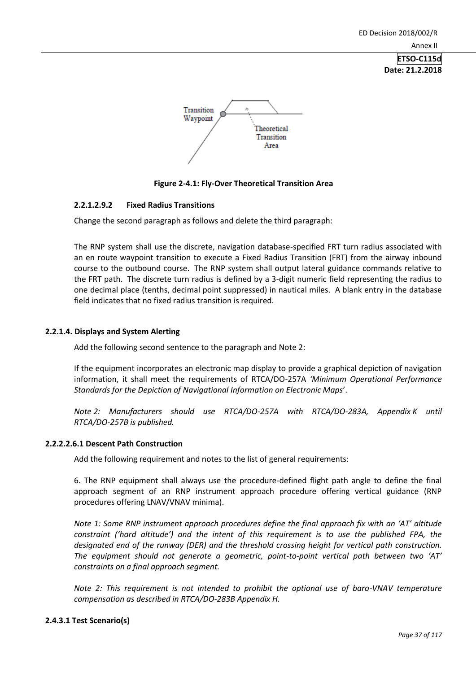**Date: 21.2.2018**



# **Figure 2-4.1: Fly-Over Theoretical Transition Area**

# **2.2.1.2.9.2 Fixed Radius Transitions**

Change the second paragraph as follows and delete the third paragraph:

The RNP system shall use the discrete, navigation database-specified FRT turn radius associated with an en route waypoint transition to execute a Fixed Radius Transition (FRT) from the airway inbound course to the outbound course. The RNP system shall output lateral guidance commands relative to the FRT path. The discrete turn radius is defined by a 3-digit numeric field representing the radius to one decimal place (tenths, decimal point suppressed) in nautical miles. A blank entry in the database field indicates that no fixed radius transition is required.

# **2.2.1.4. Displays and System Alerting**

Add the following second sentence to the paragraph and Note 2:

If the equipment incorporates an electronic map display to provide a graphical depiction of navigation information, it shall meet the requirements of RTCA/DO-257A *'Minimum Operational Performance Standards for the Depiction of Navigational Information on Electronic Maps*'.

*Note 2: Manufacturers should use RTCA/DO-257A with RTCA/DO-283A, Appendix K until RTCA/DO-257B is published.*

# **2.2.2.2.6.1 Descent Path Construction**

Add the following requirement and notes to the list of general requirements:

6. The RNP equipment shall always use the procedure-defined flight path angle to define the final approach segment of an RNP instrument approach procedure offering vertical guidance (RNP procedures offering LNAV/VNAV minima).

*Note 1: Some RNP instrument approach procedures define the final approach fix with an 'AT' altitude constraint ('hard altitude') and the intent of this requirement is to use the published FPA, the designated end of the runway (DER) and the threshold crossing height for vertical path construction. The equipment should not generate a geometric, point-to-point vertical path between two 'AT' constraints on a final approach segment.*

*Note 2: This requirement is not intended to prohibit the optional use of baro-VNAV temperature compensation as described in RTCA/DO-283B Appendix H.*

# **2.4.3.1 Test Scenario(s)**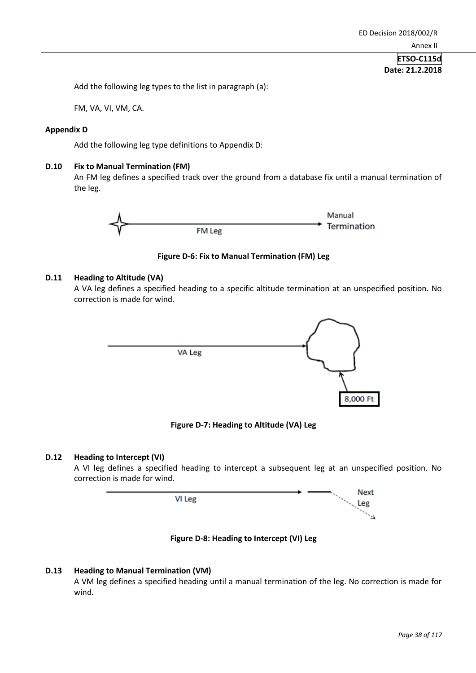Add the following leg types to the list in paragraph (a):

FM, VA, VI, VM, CA.

# **Appendix D**

Add the following leg type definitions to Appendix D:

# **D.10 Fix to Manual Termination (FM)**

An FM leg defines a specified track over the ground from a database fix until a manual termination of the leg.



**Figure D-6: Fix to Manual Termination (FM) Leg**

# **D.11 Heading to Altitude (VA)**

A VA leg defines a specified heading to a specific altitude termination at an unspecified position. No correction is made for wind.



**Figure D-7: Heading to Altitude (VA) Leg**

# **D.12 Heading to Intercept (VI)**

A VI leg defines a specified heading to intercept a subsequent leg at an unspecified position. No correction is made for wind.



**Figure D-8: Heading to Intercept (VI) Leg**

# **D.13 Heading to Manual Termination (VM)**

A VM leg defines a specified heading until a manual termination of the leg. No correction is made for wind.